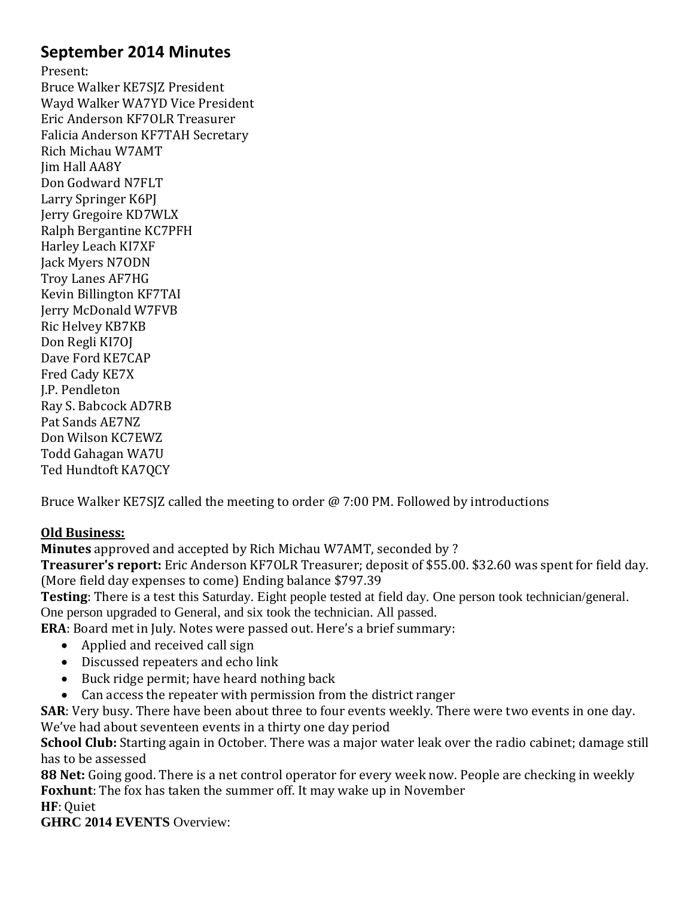# **September 2014 Minutes**

Present: Bruce Walker KE7SJZ President Wayd Walker WA7YD Vice President Eric Anderson KF7OLR Treasurer Falicia Anderson KF7TAH Secretary Rich Michau W7AMT Jim Hall AA8Y Don Godward N7FLT Larry Springer K6PJ Jerry Gregoire KD7WLX Ralph Bergantine KC7PFH Harley Leach KI7XF Jack Myers N7ODN Troy Lanes AF7HG Kevin Billington KF7TAI Jerry McDonald W7FVB Ric Helvey KB7KB Don Regli KI7OJ Dave Ford KE7CAP Fred Cady KE7X J.P. Pendleton Ray S. Babcock AD7RB Pat Sands AE7NZ Don Wilson KC7EWZ Todd Gahagan WA7U Ted Hundtoft KA7QCY

Bruce Walker KE7SJZ called the meeting to order @ 7:00 PM. Followed by introductions

# **Old Business:**

**Minutes** approved and accepted by Rich Michau W7AMT, seconded by ?

**Treasurer's report:** Eric Anderson KF7OLR Treasurer; deposit of \$55.00. \$32.60 was spent for field day. (More field day expenses to come) Ending balance \$797.39

**Testing**: There is a test this Saturday. Eight people tested at field day. One person took technician/general. One person upgraded to General, and six took the technician. All passed.

**ERA**: Board met in July. Notes were passed out. Here's a brief summary:

- Applied and received call sign
- Discussed repeaters and echo link
- Buck ridge permit; have heard nothing back
- Can access the repeater with permission from the district ranger

**SAR**: Very busy. There have been about three to four events weekly. There were two events in one day. We've had about seventeen events in a thirty one day period

**School Club:** Starting again in October. There was a major water leak over the radio cabinet; damage still has to be assessed

**88 Net:** Going good. There is a net control operator for every week now. People are checking in weekly **Foxhunt**: The fox has taken the summer off. It may wake up in November

**HF**: Quiet

**GHRC 2014 EVENTS** Overview: